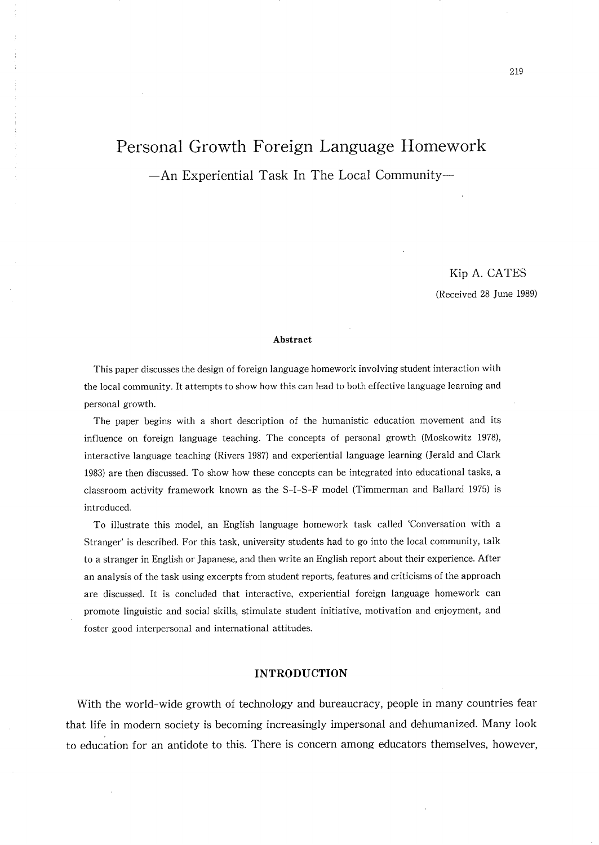# Personal Growth Foreign Language Homework

An Experiential Task ln The Local Community一

Kip A.CATES

(Received 28 June 1989)

#### Abstract

This paper discusses the design of foreign language homework involving student interaction with the local community. It attempts to show how this can lead to both effective language learning and personal growth.

The paper begins with a short description of the humanistic education movement and its influence on foreign language teaching. The concepts of personal growth (Moskowitz 1978), interactive language teaching (Rivers 1987) and experiential language learning (Jerald and Clark 1983) are then discussed. To show how these concepts can be integrated into educational tasks, a classroom activity framework known as the S-I-S-F model (Timmerman and Ballard 1975) is introduced

To illustrate this model, an English language homework task called 'Conversation with a Stranger' is described. For this task, university students had to go into the local community, talk to a stranger in English or Japanese, and then write an English report about their experience. After an analysis of the task using excerpts from student reports, features and criticisms of the approach are discussed. It is concluded that interactive, experiential foreign language homework can promote linguistic and social skills, stimulate student initiative, motivation and enjoyment, and foster good interpersonal and international attitudes.

### INTRODUCT10N

With the world-wide growth of technology and bureaucracy, people in many countries fear that life in modern society is becoming increasingly impersonal and dehumanized. Many look to education for an antidote to this. There is concern among educators themselves, however,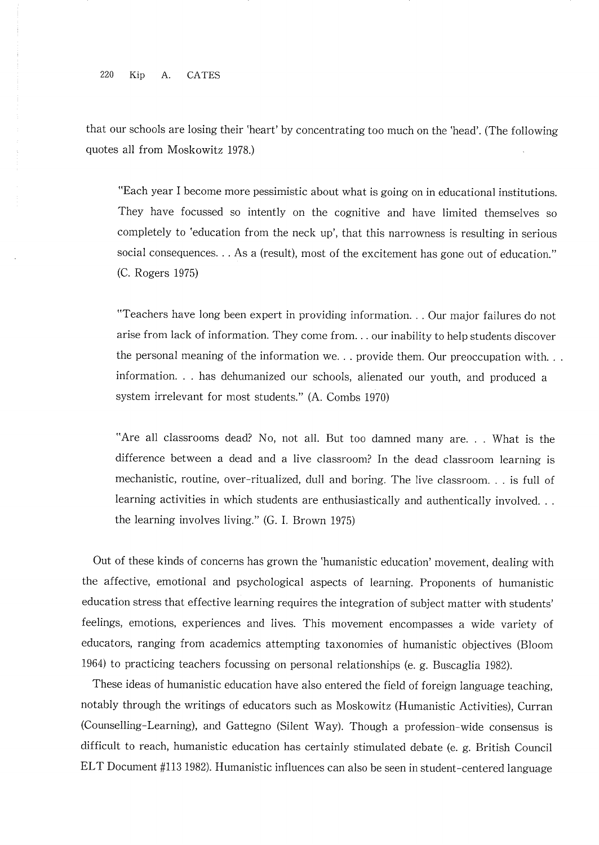220 Kip  $A$ . **CATES** 

that our schools are losing their 'heart' by concentrating too much on the 'head'. (The following quotes all from Moskowitz 1978.)

"Each year I become more pessimistic about what is going on in educational institutions. They have focussed so intently on the cognitive and have limited themselves so completely to 'education from the neck up', that this narrowness is resulting in serious social consequences... As a (result), most of the excitement has gone out of education." (C. Rogers 1975)

"Teachers have long been expert in providing information... Our major failures do not arise from lack of information. They come from... our inability to help students discover the personal meaning of the information we... provide them. Our preoccupation with... information... has dehumanized our schools, alienated our youth, and produced a system irrelevant for most students." (A. Combs 1970)

"Are all classrooms dead? No, not all. But too damned many are... What is the difference between a dead and a live classroom? In the dead classroom learning is mechanistic, routine, over-ritualized, dull and boring. The live classroom. . . is full of learning activities in which students are enthusiastically and authentically involved... the learning involves living." (G. I. Brown 1975)

Out of these kinds of concerns has grown the 'humanistic education' movement, dealing with the affective, emotional and psychological aspects of learning. Proponents of humanistic education stress that effective learning requires the integration of subject matter with students' feelings, emotions, experiences and lives. This movement encompasses a wide variety of educators, ranging from academics attempting taxonomies of humanistic objectives (Bloom 1964) to practicing teachers focussing on personal relationships (e. g. Buscaglia 1982).

These ideas of humanistic education have also entered the field of foreign language teaching, notably through the writings of educators such as Moskowitz (Humanistic Activities), Curran (Counselling-Learning), and Gattegno (Silent Way). Though a profession-wide consensus is difficult to reach, humanistic education has certainly stimulated debate (e. g. British Council ELT Document #113 1982). Humanistic influences can also be seen in student-centered language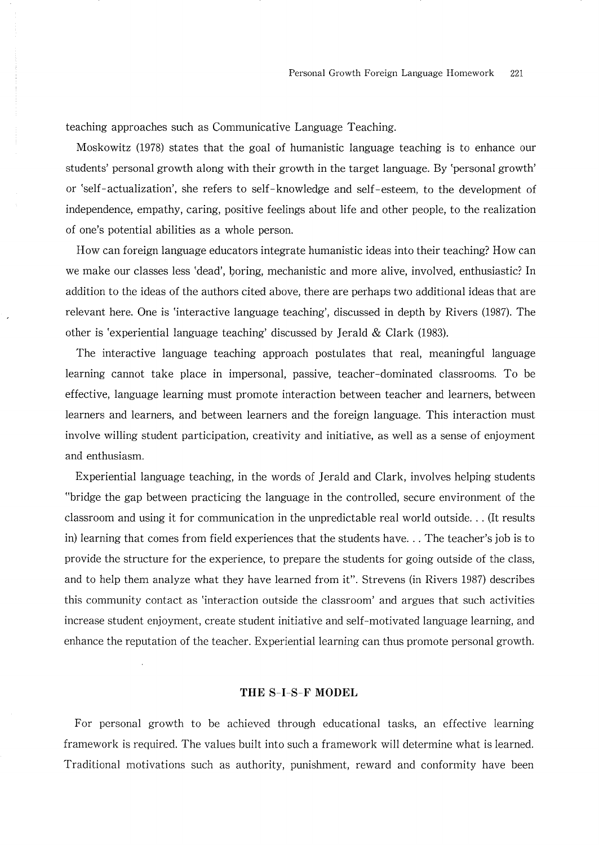teaching approaches such as Communicative Language Teaching.

Moskowitz (1978) states that the goal of humanistic language teaching is to enhance our students' personal growth along with their growth in the target language. By 'personal growth' or 'self-actualization', she refers to self-knowledge and self-esteem, to the development of independence, empathy, caring, positive feelings about life and other people, to the realization of one's potential abilities as a whole person.

How can foreign language educators integrate humanistic ideas into their teaching? How can we make our classes less 'dead', boring, mechanistic and more alive, involved, enthusiastic? In addition to the ideas of the authors cited above, there are perhaps two additional ideas that are relevant here. One is 'interactive language teaching', discussed in depth by Rivers (1987). The other is 'experiential language teaching' discussed by Jerald & Clark (1983).

The interactive language teaching approach postulates that real, meaningful language learning cannot take place in impersonal, passive, teacher-dominated classrooms. To be effective, language learning must promote interaction between teacher and learners, between learners and learners, and between learners and the foreign language. This interaction must involve willing student participation, creativity and initiative, as well as a sense of enjoyment and enthusiasm.

Experiential language teaching, in the words of Jerald and Clark, involves helping students "bridge the gap between practicing the language in the controlled, secure environment of the classroom and using it for communication in the unpredictable real world outside... (It results in) learning that comes from field experiences that the students have... The teacher's job is to provide the structure for the experience, to prepare the students for going outside of the class, and to help them analyze what they have learned from it". Strevens (in Rivers 1987) describes this community contact as 'interaction outside the classroom' and argues that such activities increase student enjoyment, create student initiative and self-motivated language learning, and enhance the reputation of the teacher. Experiential learning can thus promote personal growth.

# THE S-I-S-F MODEL

For personal growth to be achieved through educational tasks, an effective learning framework is required. The values built into such a framework will determine what is learned. Traditional motivations such as authority, punishment, reward and conformity have been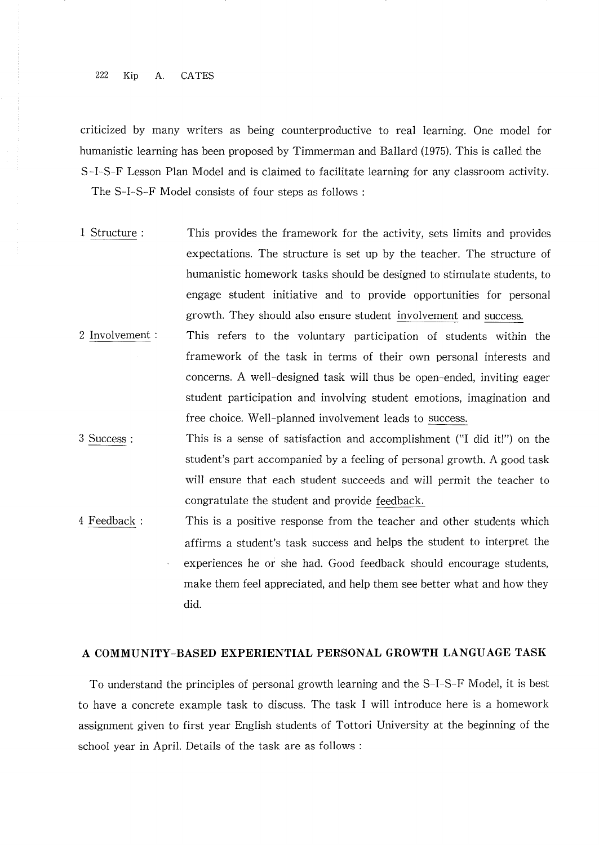#### 222 Kip A. CATES

criticized by many vriters as being counterproductive to real learning. One model for humanistic learning has been proposed by Timmerman and Ballard (1975). This is called the S-I-S-F Lesson Plan Model and is claimed to facilitate learning for any classroom activity. The S-I-S-F Model consists of four steps as follows:

- l Structure: This provides the framework for the activity, sets lirnits and provides expectations. The structure is set up by the teacher. The structure of humanistic homework tasks should be designed to stimulate students, to engage student initiative and to provide opportunities for personal growth.They should also ensure student involvement and success.
- This refers to the voluntary participation of students within the framework of the task in terms of their own personal interests and concerns. A well-designed task will thus be open-ended, inviting eager student participation and involving student emotions, imagination and free choice. Well-planned involvement leads to success. 2 Involvement :
- 3 Success : This is a sense of satisfaction and accomplishment ("I did it!") on the student's part accompanied by a feeling of personal growth. A good task will ensure that each student succeeds and will permit the teacher to congratulate the student and provide feedback.
- This is a positive response from the teacher and other students which affirms a student's task success and helps the student to interpret the experiences he or she had. Good feedback should encourage students, make them feel appreciated, and help them see better what and how they did. 4 Feedback:

# A COMMUNITY― BASED EXPERIENTIAL PERSONAL GROWTH LANGUAGE TASK

To understand the principles of personal growth learning and the S-I-S-F Model, it is best to have a concrete example task to discuss. The task l will introduce here is a homework assignment given to first year English students of Tottori University at the beginning of the school year in April. Details of the task are as follows: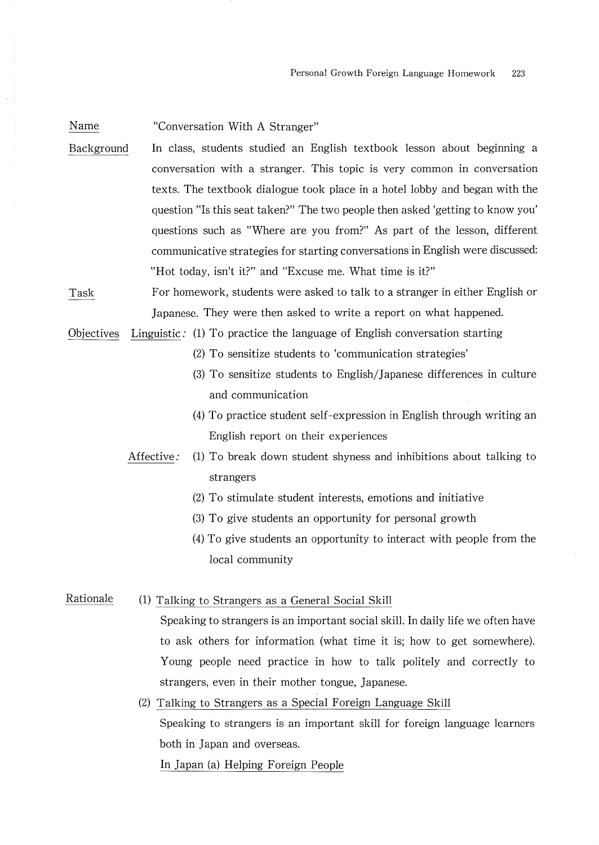Name "Conversation With A Stranger"

Background ln class, students studied an English textbook lesson about beginning a conversation with a stranger. This topic is very common in conversation texts.The textbook dialogue took place in a hotel lobby and began with the question "Is this seat taken?" The two people then asked 'getting to know you' questions such as "Where are you from?" As part of the lesson, different communicative strategies for starting conversations in Englsh were discussed: "Hot today, isn't it?" and "Excuse me. What time is it?"

Task For homework, students were asked to talk to a stranger in either English or Japanese. They were then asked to write a report on what happened.

Objectives Linguistic: (1) To practice the language of English conversation starting

- $(2)$  To sensitize students to 'communication strategies'
- (3)To sensitize students to Enghsh/Japanese differences in culture and communication
- (4) To practice student self-expression in English through writing an English report on their experiences
- Affective:  $(1)$  To break down student shyness and inhibitions about talking to strangers
	- (2) To stimulate student interests, emotions and initiative
	- $(3)$  To give students an opportunity for personal growth
	- $(4)$  To give students an opportunity to interact with people from the local community

Rationale (1) Talking to Strangers as a General Social Skill

Speaking to strangers is an important social skill. In daily life we often have to ask others for information (what time it is; how to get somewhere). Young people need practice in how to talk politely and correctly to strangers, even in their mother tongue, Japanese.

(2) Talking to Strangers as a Special Foreign Language Skill Speaking to strangers is an important skill for foreign language learners both in Japan and Overseas. In Japan (a) Helping Foreign People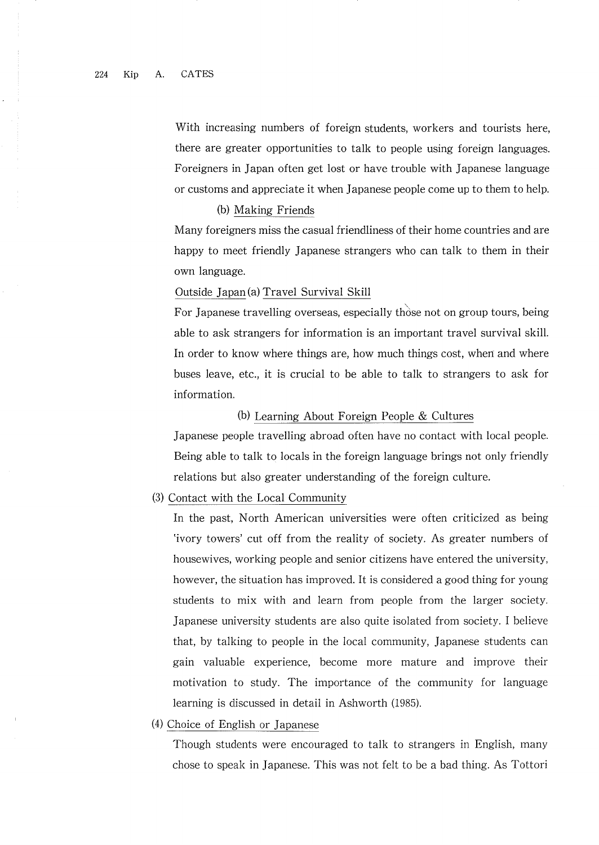With increasing numbers of foreign students, workers and tourists here, there are greater opportunities to talk to people using foreign languages. Foreigners in Japan often get lost or have trouble with Japanese language or customs and appreciate it when」 apanese people come up to theln to help.

#### (b) Making Friends

Many foreigners miss the casual friendliness of their home countries and are happy to meet friendly Japanese strangers who can talk to them in their own language.

# Outside Japan(a) Travel Survival Skill

For Japanese travelling overseas, especially those not on group tours, being able to ask strangers for information is an important travel survival skin. In order to know where things are, how much things cost, when and where buses ieave, etc., it is crucial to be able to talk to strangers to ask for information.

# (b) Learning About Foreign People  $&$  Cultures

Japanese people travelling abroad often have no contact with local people. Being able to talk to locals in the foreign language brings not only friendly relations but also greater understanding of the foreign culture.

# (3) Contact with the Local Community

ln the past, North Arnerican universities were often criticized as being 'ivory towers' cut off from the reality of society. As greater numbers of housewives, working people and senior citizens have entered the university, however, the situation has improved. It is considered a good thing for young students to mix with and learn from people from the larger society. Japanese university students are also quite isolated from society. I believe that,by talking to people in the local community, Japanese students can gain valuable experience, become more mature and improve their motivation to study. The importance of the community for language learning is discussed in detail in Ashworth (1985).

#### (4) Choice of English or Japanese

Though students were encouraged to talk to strangers in English, many chose to speak in Japanese. This was not felt to be a bad thing. As Tottori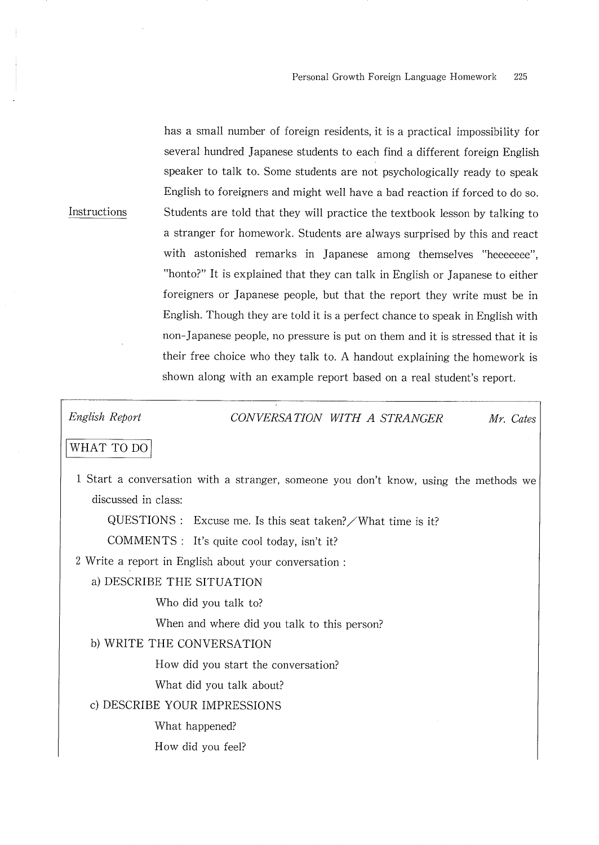has a small number of foreign residents, it is a practical impossibility for several hundred Japanese students to each find a different foreign English speaker to talk to. Some students are not psychologically ready to speak English to foreigners and might well have a bad reaction if forced to do so. Students are told that they will practice the textbook lesson by talking to a stranger for homework. Students are always surprised by this and react with astonished remarks in Japanese among themselves "heeeeeee", "honto?" It is explained that they can talk in English or Japanese to either foreigners or Japanese people, but that the report they write must be in English. Though they are told it is a perfect chance to speak in English with non-Japanese people, no pressure is put on them and it is stressed that it is their free choice who they talk to. A handout explaining the homework is shown along with an example report based on a real student's report.

English Report

Instructions

CONVERSATION WITH A STRANGER Mr. Cates

# WHAT TO DO

1 Start a conversation with a stranger, someone you don't know, using the methods we discussed in class:

 $\angle$ QUESTIONS : Excuse me. Is this seat taken? / What time is it?

COMMENTS : It's quite cool today, isn't it?

2 Write a report in English about your conversation:

# a) DESCRIBE THE SITUATION

Who did you talk to?

When and where did you talk to this person?

# b) WRITE THE CONVERSATION

How did you start the conversation?

What did you talk about?

c) DESCRIBE YOUR IMPRESSIONS

What happened?

How did you feel?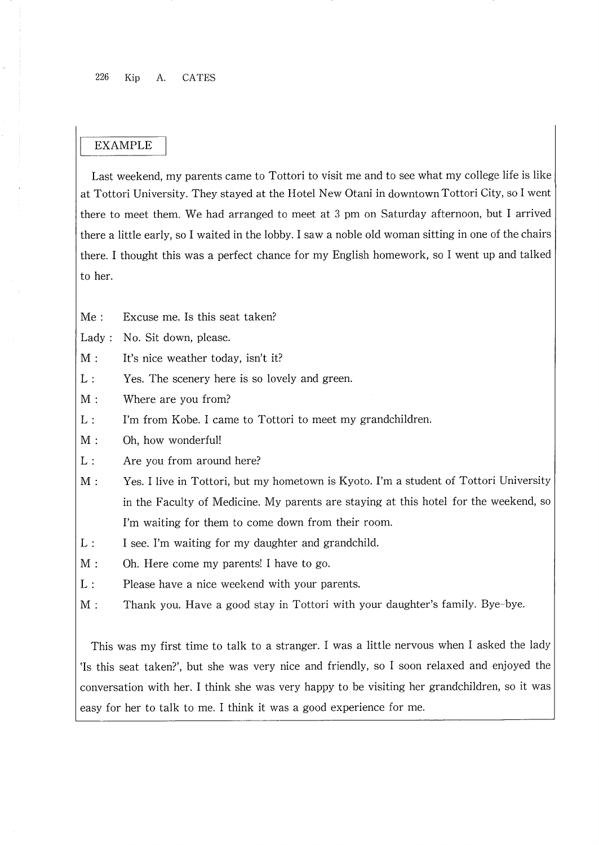# EXAMPLE

Last weekend, my parents came to Tottori to visit me and to see what my college life is like at Tottori University. They stayed at the Hotel New Otani in downtown Tottori City, so I went there to meet them. We had arranged to meet at 3 pm on Saturday afternoon, but I arrived there a little early, so I waited in the lobby. I saw a noble old woman sitting in one of the chairs there. I thought this was a perfect chance for my English homework, so I went up and talked to her.

Me: Excuse me. Is this seat taken?

Lady: No. Sit down, please.

- $M:$ It's nice weather today, isn't it?
- $L$  . Yes. The scenery here is so lovely and green.
- $M:$ Where are you from?
- $L:$ I'm from Kobe. I came to Tottori to meet my grandchildren.
- $M:$ Oh, how wonderful!
- $L:$ Are you from around here?
- $M:$ Yes. I live in Tottori, but my hometown is Kyoto. I'm a student of Tottori University in the Faculty of Medicine. My parents are staying at this hotel for the weekend, so I'm waiting for them to come down from their room.
- $L:$ I see. I'm waiting for my daughter and grandchild.
- $M:$ Oh. Here come my parents! I have to go.
- $L:$ Please have a nice weekend with your parents.
- $M:$ Thank you. Have a good stay in Tottori with your daughter's family. Bye-bye.

This was my first time to talk to a stranger. I was a little nervous when I asked the lady Is this seat taken?', but she was very nice and friendly, so I soon relaxed and enjoyed the conversation with her. I think she was very happy to be visiting her grandchildren, so it was easy for her to talk to me. I think it was a good experience for me.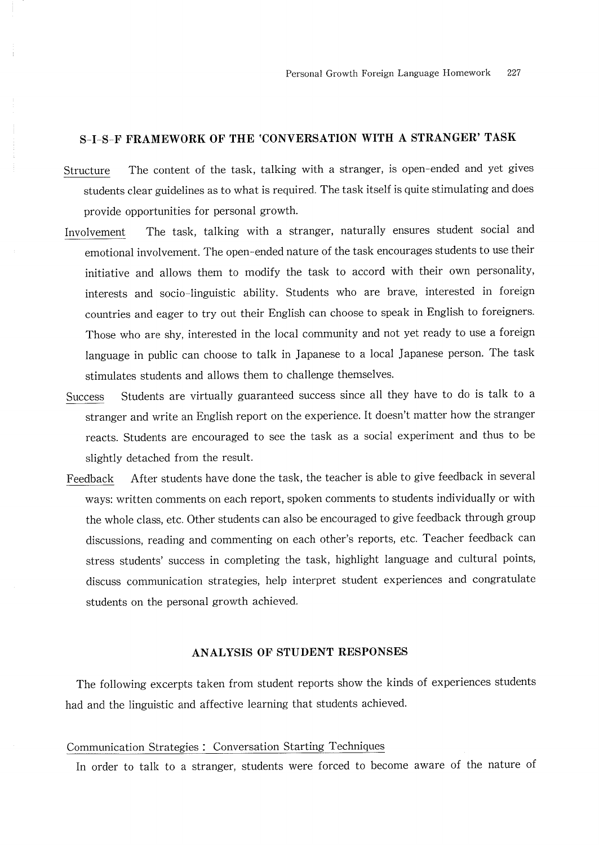# S-I-S-F FRAMEWORK OF THE 'CONVERSATION WITH A STRANGER' TASK

- Structure The content of the task, talking with a stranger, is open-ended and yet gives students clear guidelines as to what is required. The task itself is quite stimulating and does provide opportunities for personal growth.
- Involvement The task, talking with a stranger, naturally ensures student social and emotional involvement. The open-ended nature of the task encourages students to use their initiative and allows them to modify the task to accord with their own personality, interests and socio-linguistic ability. Students who are brave, interested in foreign countries and eager to try out their English can choose to speak in English to foreigners. Those who are shy, interested in the local community and not yet ready to use a foreign language in public can choose to talk in Japanese to a local Japanese person. The task stimulates students and allows them to challenge themselves.
- Success Students are virtually guaranteed success since all they have to do is talk to a stranger and write an English report on the experience.It doesn't matter how the stranger reacts. Students are encouraged to see the task as a social experiment and thus to be slightly detached from the result.
- Feedback After students have done the task, the teacher is able to give feedback in several ways: written comments on each report, spoken comments to students individually or with the whole class, etc. Other students can also be encouraged to give feedback through group discussions, reading and commenting on each other's reports, etc. Teacher feedback can stress students' success in completing the task, highlight language and cultural points, discuss communication strategies, help interpret student experiences and congratulate students on the personal growth achieved.

# ANALYSIS OF STUDENT RESPONSES

The following excerpts taken from student reports show the kinds of experiences students had and the linguistic and affective learning that students achieved.

#### Communication Strategies : Conversation Starting Techniques

ln order to talk to a stranger, students vere forced to become aware of the nature of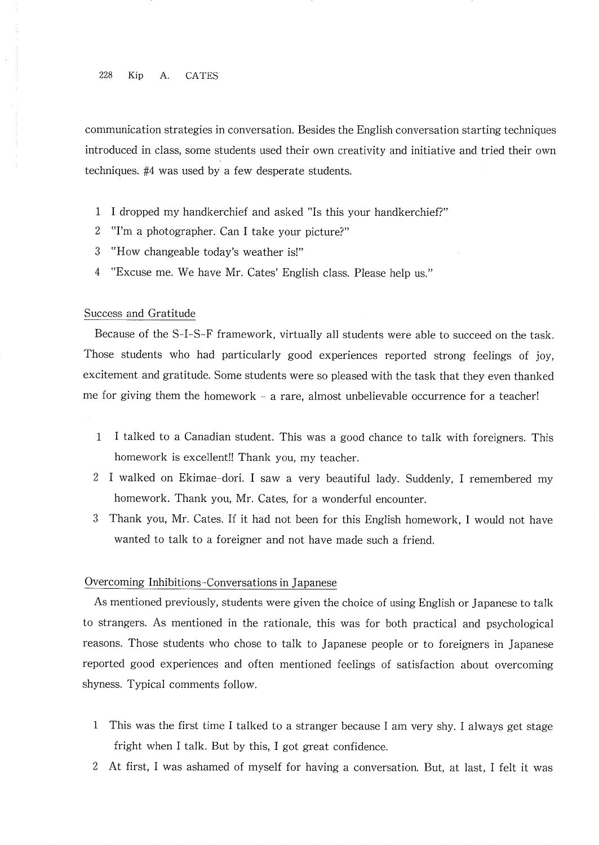#### 228 Kip A. CATES

communication strategies in conversation. Besides the English conversation starting techniques introduced in class, some students used their own creativity and initiative and tried their own techniques.  $#4$  was used by a few desperate students.

- 1 I dropped my handkerchief and asked "Is this your handkerchief?"
- 2 "I'm a photographer. Can I take your picture?"
- 3 "How changeable today's weather is!"
- 4 "Excuse me. We have Mr. Cates' English class. Please help us."

# Success and Gratitude

Because of the S-I-S-F framework, virtually all students were able to succeed on the task. Those students who had particularly good experiences reported strong feelings of joy, excitement and gratitude. Some students were so pleased with the task that they even thanked me for giving them the homework  $-$  a rare, almost unbelievable occurrence for a teacher!

- l l talked to a Canadian student. This was a good chance to talk vith foreigners. This homework is excellent!! Thank you, my teacher.
- 2 1 walked on Ekirnae― dori. I saw a very beautiful lady. Suddenly, I remembered my homework. Thank you, Mr. Cates, for a wonderful encounter.
- 3 Thank you, Mr. Cates. If it had not been for this English homework, I would not have wanted to talk to a foreigner and not have made such a friend.

#### Overcoming Inhibitions–Conversations in Japanese

As mentioned previously, students were given the choice of using English or Japanese to talk to strangers, As mentioned in the rationale, this vas for both practical and psychological reasons. Those students who chose to talk to Japanese people or to foreigners in Japanese reported good experiences and often mentioned feelings of satisfaction about overcoming shyness. Typical comments follow.

- l This was the first time I talked to a stranger because I am very shy. I always get stage fright when I talk. But by this, I got great confidence.
- 2 At first, I was ashamed of myself for having a conversation. But, at last, I felt it was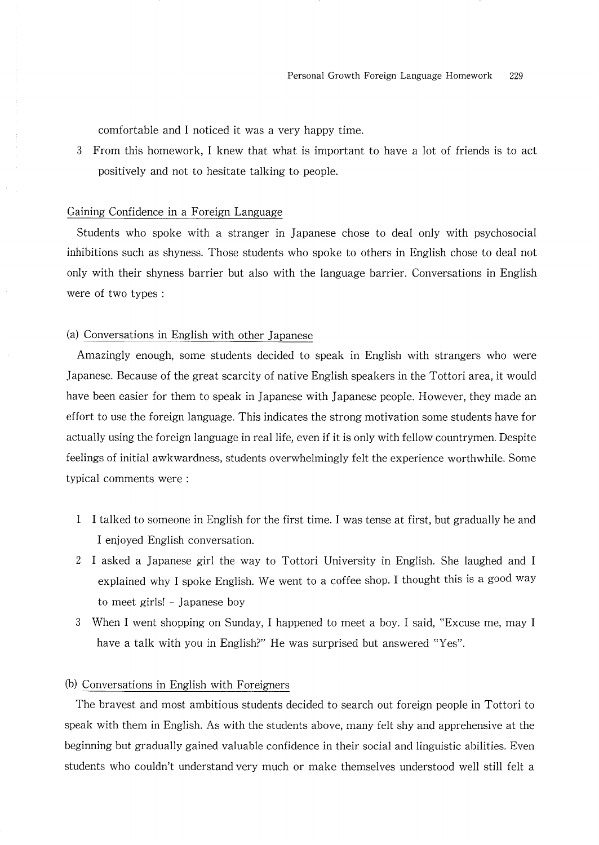comfortable and I noticed it was a very happy time

3 From this homework, I knew that what is important to have a lot of friends is to act positively and not to hesitate talking to people.

#### Gaining Confidence in a Foreign Language

Students who spoke vith a stranger in Japanese chose to deal only with psychosocial inhibitions such as shyness. Those students who spoke to others in English chose to deal not only with their shyness barrier but also with the language barrier. Conversations in Englsh vere of two types:

# (a) Conversations in English with other Japanese

Amazingly enough, some students decided to speak in English with strangers who were Japanese. Because of the great scarcity of native English speakers in the Tottori area, it would have been easier for them to speak in Japanese with Japanese people. However, they made an effort to use the foreign language.This indicates the strong motivation some students have for actually using the foreign language in real life, even if it is only with fellow countrymen. Despite feelings of initial awkwardness, students overwhelmingly felt the experience worthwhile. Some typical comments were:

- I I talked to someone in English for the first time. I was tense at first, but gradually he and I enjoyed English conversation.
- I asked a Japanese giri the way to Tottori University in Enghsh. She laughed and I explained why I spoke English. We went to a coffee shop. I thought this is a good way to meet girls! - Japanese boy
- When I went shopping on Sunday, I happened to meet a boy. I said, "Excuse me, may I 3 have a talk with you in English?" He was surprised but answered "Yes".

# (b) Conversations in English with Foreigners

The bravest and most ambitious students decided to search Out foreign people in Tottori to speak with them in English. As with the students above, many felt shy and apprehensive at the beginning but gradually gained valuable confidence in their social and linguistic abilities. Even students who couldn't understand very much or make themselves understood well still felt a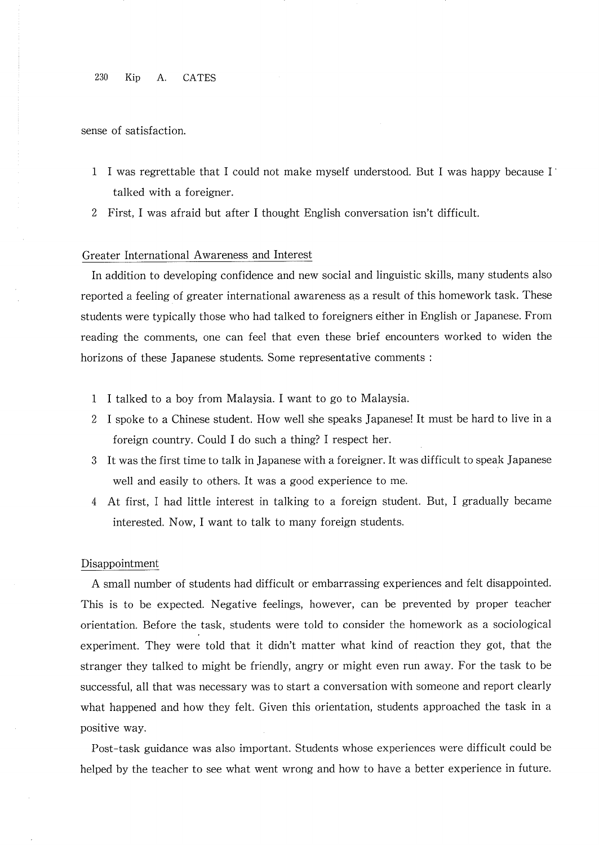230 Kip A CATES

sense of satisfaction.

- I was regrettable that l could not make myself understood.But l was happy because I` talked with a foreigner.
- 2 First, I was afraid but after I thought English conversation isn't difficult.

# Greater lnternational Awareness and lnterest

In addition to developing confidence and new social and linguistic skills, many students also reported a feeling of greater international awareness as a result of this homework task. These students were typically those who had talked to foreigners either in English or Japanese. From reading the comments, one can feel that even these brief encounters worked to widen the horizons of these Japanese students. Some representative comments:

- I talked to a boy from A/1alaysia.I want to go to Malaysia.
- 2 I spoke to a Chinese student. How well she speaks Japanese! It must be hard to live in a foreign country. Could I do such a thing? I respect her.
- It was the first time to talk in Japanese with a foreigner. It was difficult to speak Japanese well and easily to others. It was a good experience to me.
- 4 At first, I had little interest in talking to a foreign student. But, I gradually became interested. Now, I want to talk to many foreign students.

#### Disappointment

A small number of students had difficult or embarrassing experiences and felt disappointed. This is to be expected, Negative feelings, however, can be prevented by proper teacher orientation. Before the task, students were told to consider the homework as a sociological experiment. They were told that it didn't matter what kind of reaction they got, that the stranger they talked to might be friendly, angry or might even run away. For the task to be successful, all that was necessary was to start a conversation with someone and report clearly what happened and how they felt. Given this orientation, students approached the task in a positive way.

Post-task guidance was also important. Students whose experiences were difficult could be helped by the teacher to see what went wrong and how to have a better experience in future.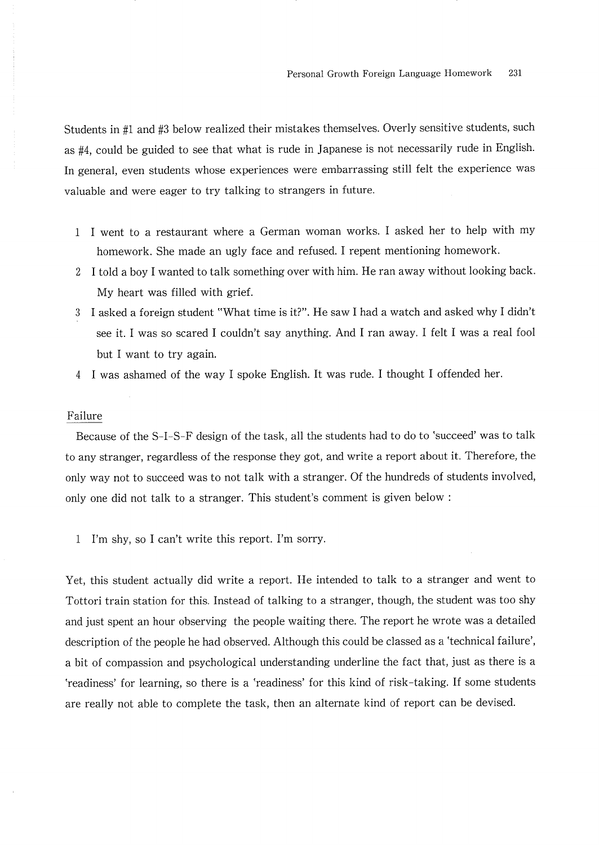Students in #1 and #3 below realized their mistakes themselves. Overly sensitive students, such as #4, could be guided to see that what is rude in Japanese is not necessarily rude in English. In general, even students whose experiences were embarrassing still felt the experience was valuable and were eager to try talking to strangers in future.

- I vent to a restaurant where a German woman works. I asked her to help with my homework. She made an ugly face and refused. I repent mentioning homework.
- 2 I told a boy I wanted to talk something over with him. He ran away without looking back. My heart was filled with grief.
- 3 I asked a foreign student "What time is it?". He saw I had a watch and asked why I didn't see it. I was so scared I couldn't say anything. And I ran away. I felt I was a real fool but l want to try again.
- 4 I was ashamed of the way I spoke English. It was rude. I thought I offended her.

#### Failure

Because of the S-I-S-F design of the task, all the students had to do to 'succeed' was to talk to any stranger, regardless of the response they got, and write a report about it. Therefore, the only way not to succeed was to not talk、 vith a stranger.Of the hundreds of students involved, only one did not talk to a stranger. This student's comment is given below:

l I'm shy,so l can't write this report.I'm sorry.

Yet, this student actually did write a report. He intended to talk to a stranger and went to Tottori train station for this. Instead of talking to a stranger, though, the student was too shy and just spent an hour observing the people waiting there. The report he wrote was a detailed description of the people he had observed. Although this could be classed as a 'technical failure', a bit of compassion and psychological understanding underline the fact that, just as there is a 'readiness' for learning, so there is a 'readiness' for this kind of risk-taking. If some students are really not able to complete the task, then an alternate kind of report can be devised.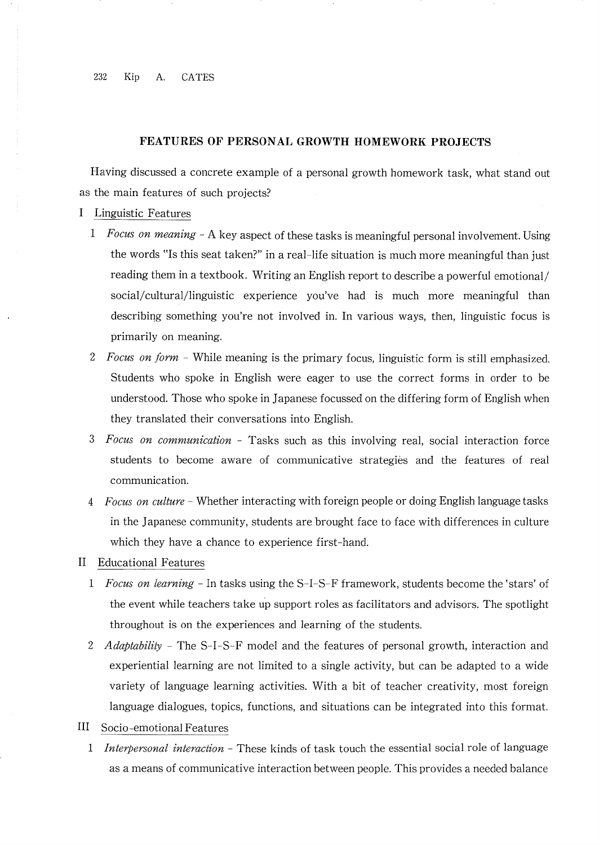#### FEATURES OF PERSONAL GROWTH HOMEWORK PROJECTS

Having discussed a concrete example of a personal growth homework task,what stand out as the main features of such projects?

- I Linguistic Features
	- 1 Focus on meaning  $A$  key aspect of these tasks is meaningful personal involvement. Using the words "Is this seat taken?" in a real-life situation is much more meaningful than just reading them in a textbook. Writing an English report to describe a powerful emotional/ social/cultural/linguistic experience you've had is much more meaningful than describing something you're not involved in. In various ways, then, linguistic focus is primarily on meaning.
	- 2 Focus on form  $-$  While meaning is the primary focus, linguistic form is still emphasized. Students who spoke in Englsh were eager to use the correct forms in order to be understood. Those who spoke in Japanese focussed on the differing form of English when they translated their conversations into English.
	- 3 Focus on communication Tasks such as this involving real, social interaction force students to become aware of communicative strategies and the features of real communication.
	- 4 *Focus on culture* Whether interacting with foreign people or doing English language tasks in the Japanese community, students are brought face to face with differences in culture which they have a chance to experience first-hand.
- II Educational Features
	- 1 *Focus on learning* In tasks using the S–I–S–F framework, students become the 'stars' of the event while teachers take up support roles as facilitators and advisors. The spotlight throughout is on the experiences and learning of the students.
	- 2 *Adaptability* The S-I-S-F model and the features of personal growth, interaction and experiential learning are not limited to a single activity, but can be adapted to a wide variety of language learning activities. With a bit of teacher creativity, most foreign language dialogues, topics, functions, and situations can be integrated into this format.
- III Socio-emotional Features
	- 1 Interpersonal interaction These kinds of task touch the essential social role of language as a means of communicative interaction between people. This provides a needed balance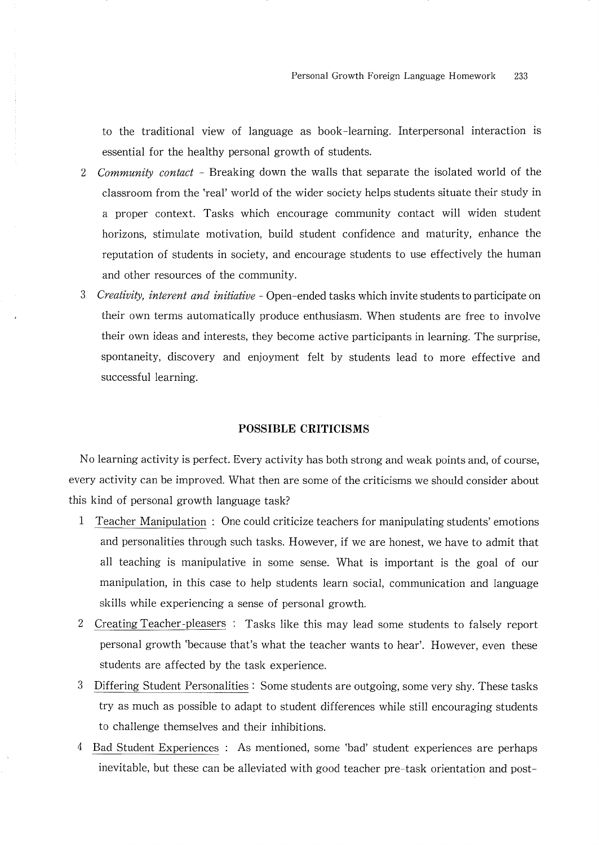to the traditional view of language as book-learning. Interpersonal interaction is essential for the healthy personal growth of students.

- 2 Community contact Breaking down the walls that separate the isolated world of the classroom from the 'real' world of the wider society helps students situate their study in a proper context. Tasks which encourage community contact will widen student horizons, stimulate motivation, build student confidence and maturity, enhance the reputation of students in society, and encourage students to use effectively the human and other resources of the community.
- 3 Creativity, interent and initiative Open-ended tasks which invite students to participate on their own terms automatically produce enthusiasm. When students are free to involve their own ideas and interests, they become active participants in learning. The surprise, spontaneity, discovery and enjoyment felt by students lead to more effective and successful learning.

### **POSSIBLE CRITICISMS**

No learning activity is perfect. Every activity has both strong and weak points and, of course, every activity can be improved. What then are some of the criticisms we should consider about this kind of personal growth language task?

- $\mathbf{1}$ Teacher Manipulation : One could criticize teachers for manipulating students' emotions and personalities through such tasks. However, if we are honest, we have to admit that all teaching is manipulative in some sense. What is important is the goal of our manipulation, in this case to help students learn social, communication and language skills while experiencing a sense of personal growth.
- $2<sup>1</sup>$ Creating Teacher-pleasers : Tasks like this may lead some students to falsely report personal growth 'because that's what the teacher wants to hear'. However, even these students are affected by the task experience.
- Differing Student Personalities: Some students are outgoing, some very shy. These tasks 3 try as much as possible to adapt to student differences while still encouraging students to challenge themselves and their inhibitions.
- 4 Bad Student Experiences : As mentioned, some 'bad' student experiences are perhaps inevitable, but these can be alleviated with good teacher pre-task orientation and post-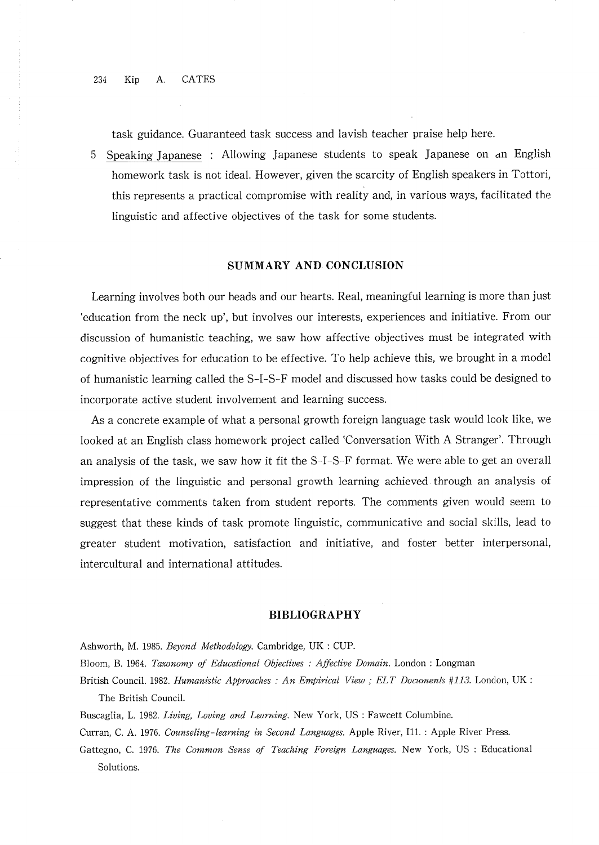task guidance. Guaranteed task success and lavish teacher praise help here.

5 Speaking Japanese : Allowing Japanese students to speak Japanese on an English homework task is not ideal. However, given the scarcity of English speakers in Tottori, this represents a practical compromise with reality and, in various ways, facilitated the linguistic and affective objectives of the task for some students.

# SUMMARY AND CONCLUSION

Learning involves both our heads and our hearts. Real, meaningful learning is more than just 'education from the neck up', but involves our interests, experiences and initiative. From our discussion of humanistic teaching, we saw how affective objectives must be integrated with cognitive objectives for education to be effective. To help achieve this, we brought in a model of humanistic learning called the S-I-S-F model and discussed how tasks could be designed to incorporate active student involvement and learning success.

As a concrete example of what a personal growth foreign language task would look like, we looked at an English class homework project called 'Conversation With A Stranger'. Through an analysis of the task, we saw how it fit the S-I-S-F format. We were able to get an overall impression of the linguistic and personal growth learning achieved through an analysis of representative comments taken from student reports. The comments given would seem to suggest that these kinds of task promote linguistic, communicative and social skills, lead to greater student motivation, satisfaction and initiative, and foster better interpersonal, intercultural and international attitudes.

#### **BIBLIOGRAPHY**

Ashworth, M. 1985. Beyond Methodology. Cambridge, UK : CUP.

- Bloom, B. 1964. Taxonomy of Educational Objectives : Affective Domain. London : Longman
- British Council. 1982. Humanistic Approaches: An Empirical View; ELT Documents #113. London, UK: The British Council.
- Buscaglia, L. 1982. Living, Loving and Learning. New York, US: Fawcett Columbine.
- Curran, C. A. 1976. Counseling-learning in Second Languages. Apple River, I11. : Apple River Press.
- Gattegno, C. 1976. The Common Sense of Teaching Foreign Languages. New York, US : Educational Solutions.